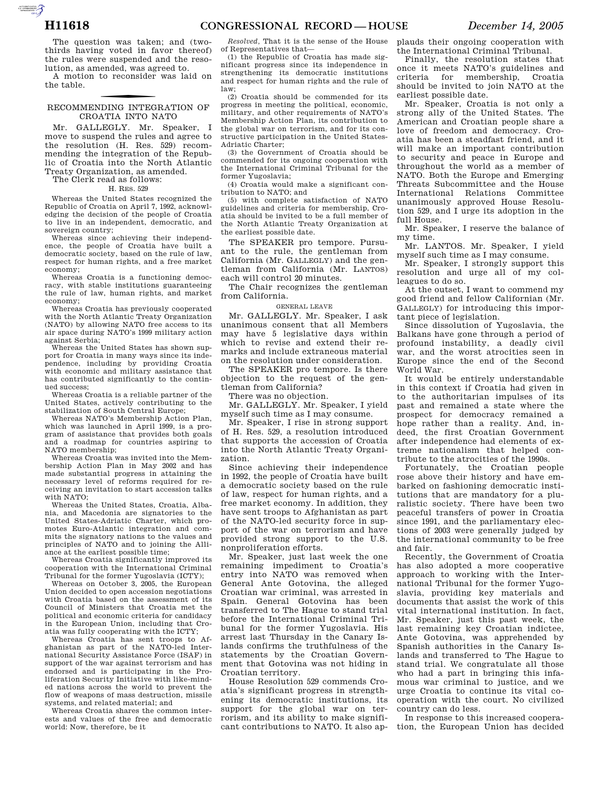AUTOROTOMICALE CONTINUES

The question was taken; and (twothirds having voted in favor thereof) the rules were suspended and the resolution, as amended, was agreed to.

A motion to reconsider was laid on the table.

## f RECOMMENDING INTEGRATION OF CROATIA INTO NATO

Mr. GALLEGLY. Mr. Speaker, I move to suspend the rules and agree to the resolution (H. Res. 529) recommending the integration of the Republic of Croatia into the North Atlantic Treaty Organization, as amended.

The Clerk read as follows:

## H. RES. 529

Whereas the United States recognized the Republic of Croatia on April 7, 1992, acknowledging the decision of the people of Croatia to live in an independent, democratic, and sovereign country;

Whereas since achieving their independence, the people of Croatia have built a democratic society, based on the rule of law, respect for human rights, and a free market economy;

Whereas Croatia is a functioning democracy, with stable institutions guaranteeing the rule of law, human rights, and market economy;

Whereas Croatia has previously cooperated with the North Atlantic Treaty Organization (NATO) by allowing NATO free access to its air space during NATO's 1999 military action against Serbia;

Whereas the United States has shown support for Croatia in many ways since its independence, including by providing Croatia with economic and military assistance that has contributed significantly to the continued success;

Whereas Croatia is a reliable partner of the United States, actively contributing to the stabilization of South Central Europe;

Whereas NATO's Membership Action Plan, which was launched in April 1999, is a program of assistance that provides both goals and a roadmap for countries aspiring to NATO membership;

Whereas Croatia was invited into the Membership Action Plan in May 2002 and has made substantial progress in attaining the necessary level of reforms required for receiving an invitation to start accession talks with NATO<sup>.</sup>

Whereas the United States, Croatia, Albania, and Macedonia are signatories to the United States-Adriatic Charter, which promotes Euro-Atlantic integration and commits the signatory nations to the values and principles of NATO and to joining the Alliance at the earliest possible time;

Whereas Croatia significantly improved its cooperation with the International Criminal Tribunal for the former Yugoslavia (ICTY);

Whereas on October 3, 2005, the European Union decided to open accession negotiations with Croatia based on the assessment of its Council of Ministers that Croatia met the political and economic criteria for candidacy in the European Union, including that Croatia was fully cooperating with the ICTY;

Whereas Croatia has sent troops to Afghanistan as part of the NATO-led International Security Assistance Force (ISAF) in support of the war against terrorism and has endorsed and is participating in the Proliferation Security Initiative with like-minded nations across the world to prevent the flow of weapons of mass destruction, missile systems, and related material; and

Whereas Croatia shares the common interests and values of the free and democratic world: Now, therefore, be it

*Resolved,* That it is the sense of the House of Representatives that—

(1) the Republic of Croatia has made significant progress since its independence in strengthening its democratic institutions and respect for human rights and the rule of law;

(2) Croatia should be commended for its progress in meeting the political, economic, military, and other requirements of NATO's Membership Action Plan, its contribution to the global war on terrorism, and for its constructive participation in the United States-Adriatic Charter;

(3) the Government of Croatia should be commended for its ongoing cooperation with the International Criminal Tribunal for the former Yugoslavia;

(4) Croatia would make a significant contribution to NATO; and

(5) with complete satisfaction of NATO guidelines and criteria for membership, Croatia should be invited to be a full member of the North Atlantic Treaty Organization at the earliest possible date.

The SPEAKER pro tempore. Pursuant to the rule, the gentleman from California (Mr. GALLEGLY) and the gentleman from California (Mr. LANTOS) each will control 20 minutes.

The Chair recognizes the gentleman from California.

GENERAL LEAVE

Mr. GALLEGLY. Mr. Speaker, I ask unanimous consent that all Members may have 5 legislative days within which to revise and extend their remarks and include extraneous material on the resolution under consideration.

The SPEAKER pro tempore. Is there objection to the request of the gentleman from California?

There was no objection.

Mr. GALLEGLY. Mr. Speaker, I yield myself such time as I may consume.

Mr. Speaker, I rise in strong support of H. Res. 529, a resolution introduced that supports the accession of Croatia into the North Atlantic Treaty Organization.

Since achieving their independence in 1992, the people of Croatia have built a democratic society based on the rule of law, respect for human rights, and a free market economy. In addition, they have sent troops to Afghanistan as part of the NATO-led security force in support of the war on terrorism and have provided strong support to the U.S. nonproliferation efforts.

Mr. Speaker, just last week the one remaining impediment to Croatia's entry into NATO was removed when General Ante Gotovina, the alleged Croatian war criminal, was arrested in Spain. General Gotovina has been transferred to The Hague to stand trial before the International Criminal Tribunal for the former Yugoslavia. His arrest last Thursday in the Canary Islands confirms the truthfulness of the statements by the Croatian Government that Gotovina was not hiding in Croatian territory.

House Resolution 529 commends Croatia's significant progress in strengthening its democratic institutions, its support for the global war on terrorism, and its ability to make significant contributions to NATO. It also applauds their ongoing cooperation with the International Criminal Tribunal.

Finally, the resolution states that once it meets NATO's guidelines and criteria for membership, Croatia should be invited to join NATO at the earliest possible date.

Mr. Speaker, Croatia is not only a strong ally of the United States. The American and Croatian people share a love of freedom and democracy. Croatia has been a steadfast friend, and it will make an important contribution to security and peace in Europe and throughout the world as a member of NATO. Both the Europe and Emerging Threats Subcommittee and the House International Relations Committee unanimously approved House Resolution 529, and I urge its adoption in the full House.

Mr. Speaker, I reserve the balance of my time.

Mr. LANTOS. Mr. Speaker, I yield myself such time as I may consume.

Mr. Speaker, I strongly support this resolution and urge all of my colleagues to do so.

At the outset, I want to commend my good friend and fellow Californian (Mr. GALLEGLY) for introducing this important piece of legislation.

Since dissolution of Yugoslavia, the Balkans have gone through a period of profound instability, a deadly civil war, and the worst atrocities seen in Europe since the end of the Second World War.

It would be entirely understandable in this context if Croatia had given in to the authoritarian impulses of its past and remained a state where the prospect for democracy remained a hope rather than a reality. And, indeed, the first Croatian Government after independence had elements of extreme nationalism that helped contribute to the atrocities of the 1990s.

Fortunately, the Croatian people rose above their history and have embarked on fashioning democratic institutions that are mandatory for a pluralistic society. There have been two peaceful transfers of power in Croatia since 1991, and the parliamentary elections of 2003 were generally judged by the international community to be free and fair.

Recently, the Government of Croatia has also adopted a more cooperative approach to working with the International Tribunal for the former Yugoslavia, providing key materials and documents that assist the work of this vital international institution. In fact, Mr. Speaker, just this past week, the last remaining key Croatian indictee, Ante Gotovina, was apprehended by Spanish authorities in the Canary Islands and transferred to The Hague to stand trial. We congratulate all those who had a part in bringing this infamous war criminal to justice, and we urge Croatia to continue its vital cooperation with the court. No civilized country can do less.

In response to this increased cooperation, the European Union has decided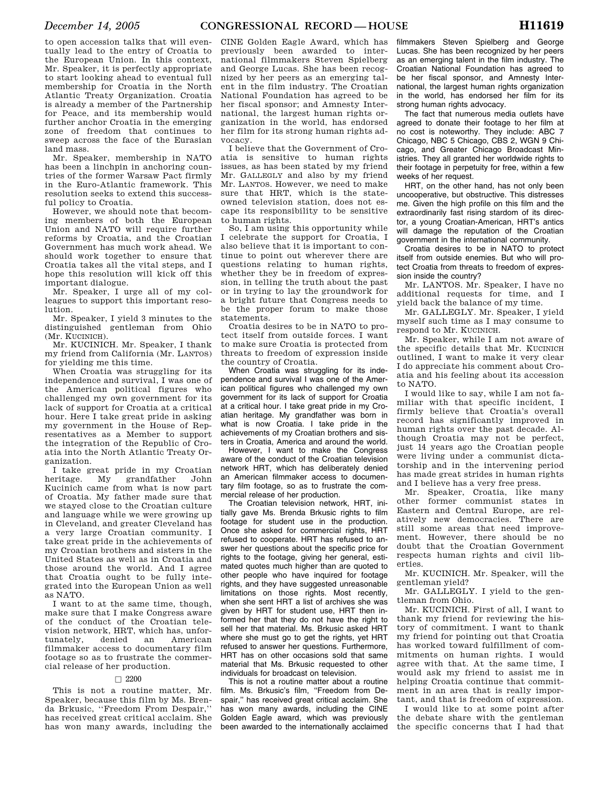to open accession talks that will eventually lead to the entry of Croatia to the European Union. In this context, Mr. Speaker, it is perfectly appropriate to start looking ahead to eventual full membership for Croatia in the North Atlantic Treaty Organization. Croatia is already a member of the Partnership for Peace, and its membership would further anchor Croatia in the emerging zone of freedom that continues to sweep across the face of the Eurasian land mass.

Mr. Speaker, membership in NATO has been a linchpin in anchoring countries of the former Warsaw Pact firmly in the Euro-Atlantic framework. This resolution seeks to extend this successful policy to Croatia.

However, we should note that becoming members of both the European Union and NATO will require further reforms by Croatia, and the Croatian Government has much work ahead. We should work together to ensure that Croatia takes all the vital steps, and I hope this resolution will kick off this important dialogue.

Mr. Speaker, I urge all of my colleagues to support this important resolution.

Mr. Speaker, I yield 3 minutes to the distinguished gentleman from Ohio (Mr. KUCINICH).

Mr. KUCINICH. Mr. Speaker, I thank my friend from California (Mr. LANTOS) for yielding me this time.

When Croatia was struggling for its independence and survival, I was one of the American political figures who challenged my own government for its lack of support for Croatia at a critical hour. Here I take great pride in asking my government in the House of Representatives as a Member to support the integration of the Republic of Croatia into the North Atlantic Treaty Organization.

I take great pride in my Croatian heritage. My grandfather John Kucinich came from what is now part of Croatia. My father made sure that we stayed close to the Croatian culture and language while we were growing up in Cleveland, and greater Cleveland has a very large Croatian community. I take great pride in the achievements of my Croatian brothers and sisters in the United States as well as in Croatia and those around the world. And I agree that Croatia ought to be fully integrated into the European Union as well as NATO.

I want to at the same time, though, make sure that I make Congress aware of the conduct of the Croatian television network, HRT, which has, unfor-<br>tunately, denied an American tunately, denied an American filmmaker access to documentary film footage so as to frustrate the commercial release of her production.

## $\Box$  2200

This is not a routine matter, Mr. Speaker, because this film by Ms. Brenda Brkusic, ''Freedom From Despair,'' has received great critical acclaim. She has won many awards, including the

CINE Golden Eagle Award, which has previously been awarded to international filmmakers Steven Spielberg and George Lucas. She has been recognized by her peers as an emerging talent in the film industry. The Croatian National Foundation has agreed to be her fiscal sponsor; and Amnesty International, the largest human rights organization in the world, has endorsed her film for its strong human rights advocacy.

I believe that the Government of Croatia is sensitive to human rights issues, as has been stated by my friend Mr. GALLEGLY and also by my friend Mr. LANTOS. However, we need to make sure that HRT, which is the stateowned television station, does not escape its responsibility to be sensitive to human rights.

So, I am using this opportunity while I celebrate the support for Croatia, I also believe that it is important to continue to point out wherever there are questions relating to human rights, whether they be in freedom of expression, in telling the truth about the past or in trying to lay the groundwork for a bright future that Congress needs to be the proper forum to make those statements.

Croatia desires to be in NATO to protect itself from outside forces. I want to make sure Croatia is protected from threats to freedom of expression inside the country of Croatia.

When Croatia was struggling for its independence and survival I was one of the American political figures who challenged my own government for its lack of support for Croatia at a critical hour. I take great pride in my Croatian heritage. My grandfather was born in what is now Croatia. I take pride in the achievements of my Croatian brothers and sisters in Croatia, America and around the world.

However, I want to make the Congress aware of the conduct of the Croatian television network HRT, which has deliberately denied an American filmmaker access to documentary film footage, so as to frustrate the commercial release of her production.

The Croatian television network, HRT, initially gave Ms. Brenda Brkusic rights to film footage for student use in the production. Once she asked for commercial rights, HRT refused to cooperate. HRT has refused to answer her questions about the specific price for rights to the footage, giving her general, estimated quotes much higher than are quoted to other people who have inquired for footage rights, and they have suggested unreasonable limitations on those rights. Most recently, when she sent HRT a list of archives she was given by HRT for student use, HRT then informed her that they do not have the right to sell her that material. Ms. Brkusic asked HRT where she must go to get the rights, yet HRT refused to answer her questions. Furthermore, HRT has on other occasions sold that same material that Ms. Brkusic requested to other individuals for broadcast on television.

This is not a routine matter about a routine film. Ms. Brkusic's film, "Freedom from Despair,'' has received great critical acclaim. She has won many awards, including the CINE Golden Eagle award, which was previously been awarded to the internationally acclaimed

filmmakers Steven Spielberg and George Lucas. She has been recognized by her peers as an emerging talent in the film industry. The Croatian National Foundation has agreed to be her fiscal sponsor, and Amnesty International, the largest human rights organization in the world, has endorsed her film for its strong human rights advocacy.

The fact that numerous media outlets have agreed to donate their footage to her film at no cost is noteworthy. They include: ABC 7 Chicago, NBC 5 Chicago, CBS 2, WGN 9 Chicago, and Greater Chicago Broadcast Ministries. They all granted her worldwide rights to their footage in perpetuity for free, within a few weeks of her request.

HRT, on the other hand, has not only been uncooperative, but obstructive. This distresses me. Given the high profile on this film and the extraordinarily fast rising stardom of its director, a young Croatian-American, HRT's antics will damage the reputation of the Croatian government in the international community.

Croatia desires to be in NATO to protect itself from outside enemies. But who will protect Croatia from threats to freedom of expression inside the country?

Mr. LANTOS. Mr. Speaker, I have no additional requests for time, and I yield back the balance of my time.

Mr. GALLEGLY. Mr. Speaker, I yield myself such time as I may consume to respond to Mr. KUCINICH.

Mr. Speaker, while I am not aware of the specific details that Mr. KUCINICH outlined, I want to make it very clear I do appreciate his comment about Croatia and his feeling about its accession to NATO.

I would like to say, while I am not familiar with that specific incident, I firmly believe that Croatia's overall record has significantly improved in human rights over the past decade. Although Croatia may not be perfect, just 14 years ago the Croatian people were living under a communist dictatorship and in the intervening period has made great strides in human rights and I believe has a very free press.

Mr. Speaker, Croatia, like many other former communist states in Eastern and Central Europe, are relatively new democracies. There are still some areas that need improvement. However, there should be no doubt that the Croatian Government respects human rights and civil liberties.

Mr. KUCINICH. Mr. Speaker, will the gentleman yield?

Mr. GALLEGLY. I yield to the gentleman from Ohio.

Mr. KUCINICH. First of all, I want to thank my friend for reviewing the history of commitment. I want to thank my friend for pointing out that Croatia has worked toward fulfillment of commitments on human rights. I would agree with that. At the same time, I would ask my friend to assist me in helping Croatia continue that commitment in an area that is really important, and that is freedom of expression.

I would like to at some point after the debate share with the gentleman the specific concerns that I had that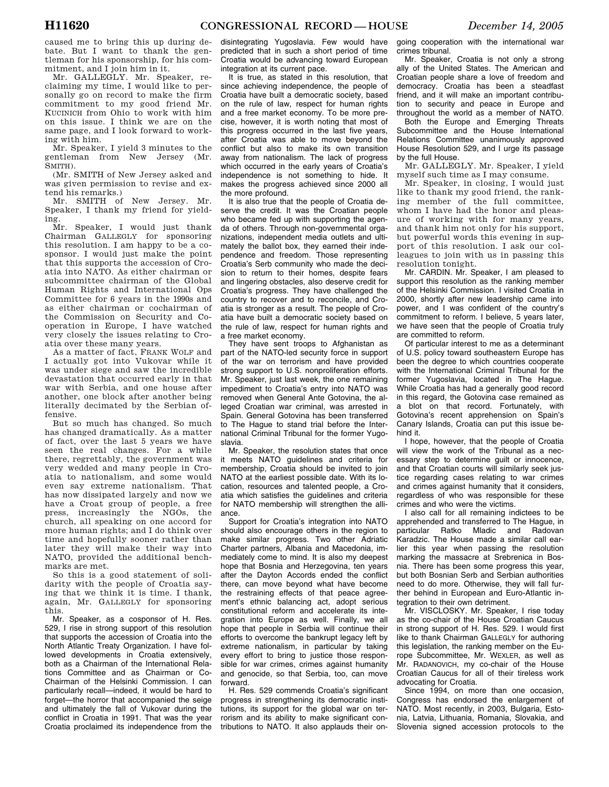caused me to bring this up during debate. But I want to thank the gentleman for his sponsorship, for his commitment, and I join him in it.

Mr. GALLEGLY. Mr. Speaker, reclaiming my time, I would like to personally go on record to make the firm commitment to my good friend Mr. KUCINICH from Ohio to work with him on this issue. I think we are on the same page, and I look forward to working with him.

Mr. Speaker, I yield 3 minutes to the gentleman from New Jersey (Mr. SMITH).

(Mr. SMITH of New Jersey asked and was given permission to revise and extend his remarks.)

Mr. SMITH of New Jersey. Mr. Speaker, I thank my friend for yielding.

Mr. Speaker, I would just thank Chairman GALLEGLY for sponsoring this resolution. I am happy to be a cosponsor. I would just make the point that this supports the accession of Croatia into NATO. As either chairman or subcommittee chairman of the Global Human Rights and International Ops Committee for 6 years in the 1990s and as either chairman or cochairman of the Commission on Security and Cooperation in Europe, I have watched very closely the issues relating to Croatia over these many years.

As a matter of fact, FRANK WOLF and I actually got into Vukovar while it was under siege and saw the incredible devastation that occurred early in that war with Serbia, and one house after another, one block after another being literally decimated by the Serbian offensive.

But so much has changed. So much has changed dramatically. As a matter of fact, over the last 5 years we have seen the real changes. For a while there, regrettably, the government was very wedded and many people in Croatia to nationalism, and some would even say extreme nationalism. That has now dissipated largely and now we have a Croat group of people, a free press, increasingly the NGOs, the church, all speaking on one accord for more human rights; and I do think over time and hopefully sooner rather than later they will make their way into NATO, provided the additional benchmarks are met.

So this is a good statement of solidarity with the people of Croatia saying that we think it is time. I thank, again, Mr. GALLEGLY for sponsoring this.

Mr. Speaker, as a cosponsor of H. Res. 529, I rise in strong support of this resolution that supports the accession of Croatia into the North Atlantic Treaty Organization. I have followed developments in Croatia extensively, both as a Chairman of the International Relations Committee and as Chairman or Co-Chairman of the Helsinki Commission. I can particularly recall—indeed, it would be hard to forget—the horror that accompanied the seige and ultimately the fall of Vukovar during the conflict in Croatia in 1991. That was the year Croatia proclaimed its independence from the

disintegrating Yugoslavia. Few would have predicted that in such a short period of time Croatia would be advancing toward European integration at its current pace.

It is true, as stated in this resolution, that since achieving independence, the people of Croatia have built a democratic society, based on the rule of law, respect for human rights and a free market economy. To be more precise, however, it is worth noting that most of this progress occurred in the last five years, after Croatia was able to move beyond the conflict but also to make its own transition away from nationalism. The lack of progress which occurred in the early years of Croatia's independence is not something to hide. It makes the progress achieved since 2000 all the more profound.

It is also true that the people of Croatia deserve the credit. It was the Croatian people who became fed up with supporting the agenda of others. Through non-governmental organizations, independent media outlets and ultimately the ballot box, they earned their independence and freedom. Those representing Croatia's Serb community who made the decision to return to their homes, despite fears and lingering obstacles, also deserve credit for Croatia's progress. They have challenged the country to recover and to reconcile, and Croatia is stronger as a result. The people of Croatia have built a democratic society based on the rule of law, respect for human rights and a free market economy.

They have sent troops to Afghanistan as part of the NATO-led security force in support of the war on terrorism and have provided strong support to U.S. nonproliferation efforts. Mr. Speaker, just last week, the one remaining impediment to Croatia's entry into NATO was removed when General Ante Gotovina, the alleged Croatian war criminal, was arrested in Spain. General Gotovina has been transferred to The Hague to stand trial before the International Criminal Tribunal for the former Yugoslavia.

Mr. Speaker, the resolution states that once it meets NATO guidelines and criteria for membership, Croatia should be invited to join NATO at the earliest possible date. With its location, resources and talented people, a Croatia which satisfies the guidelines and criteria for NATO membership will strengthen the alliance.

Support for Croatia's integration into NATO should also encourage others in the region to make similar progress. Two other Adriatic Charter partners, Albania and Macedonia, immediately come to mind. It is also my deepest hope that Bosnia and Herzegovina, ten years after the Dayton Accords ended the conflict there, can move beyond what have become the restraining effects of that peace agreement's ethnic balancing act, adopt serious constitutional reform and accelerate its integration into Europe as well. Finally, we all hope that people in Serbia will continue their efforts to overcome the bankrupt legacy left by extreme nationalism, in particular by taking every effort to bring to justice those responsible for war crimes, crimes against humanity and genocide, so that Serbia, too, can move forward.

H. Res. 529 commends Croatia's significant progress in strengthening its democratic institutions, its support for the global war on terrorism and its ability to make significant contributions to NATO. It also applauds their on-

going cooperation with the international war crimes tribunal.

Mr. Speaker, Croatia is not only a strong ally of the United States. The American and Croatian people share a love of freedom and democracy. Croatia has been a steadfast friend, and it will make an important contribution to security and peace in Europe and throughout the world as a member of NATO.

Both the Europe and Emerging Threats Subcommittee and the House International Relations Committee unanimously approved House Resolution 529, and I urge its passage by the full House.

Mr. GALLEGLY. Mr. Speaker, I yield myself such time as I may consume.

Mr. Speaker, in closing, I would just like to thank my good friend, the ranking member of the full committee, whom I have had the honor and pleasure of working with for many years, and thank him not only for his support, but powerful words this evening in support of this resolution. I ask our colleagues to join with us in passing this resolution tonight.

Mr. CARDIN. Mr. Speaker, I am pleased to support this resolution as the ranking member of the Helsinki Commission. I visited Croatia in 2000, shortly after new leadership came into power, and I was confident of the country's commitment to reform. I believe, 5 years later, we have seen that the people of Croatia truly are committed to reform.

Of particular interest to me as a determinant of U.S. policy toward southeastern Europe has been the degree to which countries cooperate with the International Criminal Tribunal for the former Yugoslavia, located in The Hague. While Croatia has had a generally good record in this regard, the Gotovina case remained as a blot on that record. Fortunately, with Gotovina's recent apprehension on Spain's Canary Islands, Croatia can put this issue behind it.

I hope, however, that the people of Croatia will view the work of the Tribunal as a necessary step to determine guilt or innocence, and that Croatian courts will similarly seek justice regarding cases relating to war crimes and crimes against humanity that it considers, regardless of who was responsible for these crimes and who were the victims.

I also call for all remaining indictees to be apprehended and transferred to The Hague, in particular Ratko Mladic and Radovan Karadzic. The House made a similar call earlier this year when passing the resolution marking the massacre at Srebrenica in Bosnia. There has been some progress this year, but both Bosnian Serb and Serbian authorities need to do more. Otherwise, they will fall further behind in European and Euro-Atlantic integration to their own detriment.

Mr. VISCLOSKY. Mr. Speaker, I rise today as the co-chair of the House Croatian Caucus in strong support of H. Res. 529. I would first like to thank Chairman GALLEGLY for authoring this legislation, the ranking member on the Europe Subcommittee, Mr. WEXLER, as well as Mr. RADANOVICH, my co-chair of the House Croatian Caucus for all of their tireless work advocating for Croatia.

Since 1994, on more than one occasion, Congress has endorsed the enlargement of NATO. Most recently, in 2003, Bulgaria, Estonia, Latvia, Lithuania, Romania, Slovakia, and Slovenia signed accession protocols to the